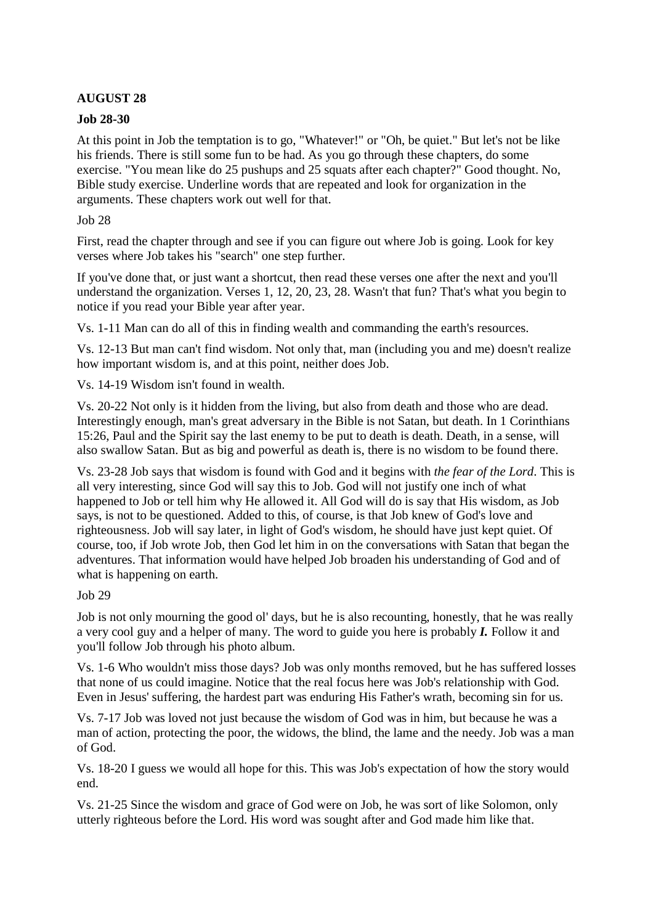# **AUGUST 28**

### **Job 28-30**

At this point in Job the temptation is to go, "Whatever!" or "Oh, be quiet." But let's not be like his friends. There is still some fun to be had. As you go through these chapters, do some exercise. "You mean like do 25 pushups and 25 squats after each chapter?" Good thought. No, Bible study exercise. Underline words that are repeated and look for organization in the arguments. These chapters work out well for that.

#### Job 28

First, read the chapter through and see if you can figure out where Job is going. Look for key verses where Job takes his "search" one step further.

If you've done that, or just want a shortcut, then read these verses one after the next and you'll understand the organization. Verses 1, 12, 20, 23, 28. Wasn't that fun? That's what you begin to notice if you read your Bible year after year.

Vs. 1-11 Man can do all of this in finding wealth and commanding the earth's resources.

Vs. 12-13 But man can't find wisdom. Not only that, man (including you and me) doesn't realize how important wisdom is, and at this point, neither does Job.

Vs. 14-19 Wisdom isn't found in wealth.

Vs. 20-22 Not only is it hidden from the living, but also from death and those who are dead. Interestingly enough, man's great adversary in the Bible is not Satan, but death. In 1 Corinthians 15:26, Paul and the Spirit say the last enemy to be put to death is death. Death, in a sense, will also swallow Satan. But as big and powerful as death is, there is no wisdom to be found there.

Vs. 23-28 Job says that wisdom is found with God and it begins with *the fear of the Lord*. This is all very interesting, since God will say this to Job. God will not justify one inch of what happened to Job or tell him why He allowed it. All God will do is say that His wisdom, as Job says, is not to be questioned. Added to this, of course, is that Job knew of God's love and righteousness. Job will say later, in light of God's wisdom, he should have just kept quiet. Of course, too, if Job wrote Job, then God let him in on the conversations with Satan that began the adventures. That information would have helped Job broaden his understanding of God and of what is happening on earth.

#### Job 29

Job is not only mourning the good ol' days, but he is also recounting, honestly, that he was really a very cool guy and a helper of many. The word to guide you here is probably *I.* Follow it and you'll follow Job through his photo album.

Vs. 1-6 Who wouldn't miss those days? Job was only months removed, but he has suffered losses that none of us could imagine. Notice that the real focus here was Job's relationship with God. Even in Jesus' suffering, the hardest part was enduring His Father's wrath, becoming sin for us.

Vs. 7-17 Job was loved not just because the wisdom of God was in him, but because he was a man of action, protecting the poor, the widows, the blind, the lame and the needy. Job was a man of God.

Vs. 18-20 I guess we would all hope for this. This was Job's expectation of how the story would end.

Vs. 21-25 Since the wisdom and grace of God were on Job, he was sort of like Solomon, only utterly righteous before the Lord. His word was sought after and God made him like that.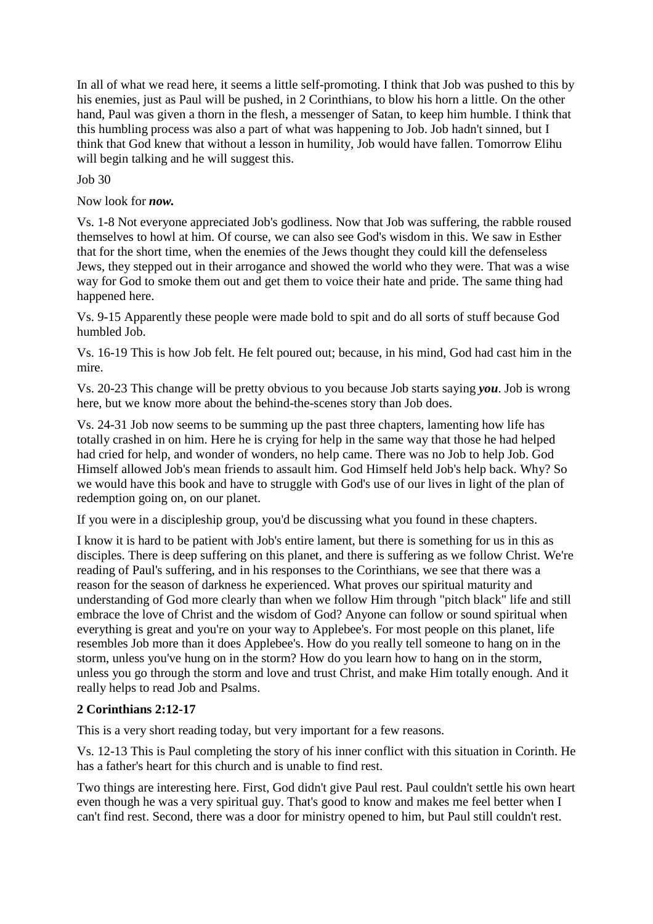In all of what we read here, it seems a little self-promoting. I think that Job was pushed to this by his enemies, just as Paul will be pushed, in 2 Corinthians, to blow his horn a little. On the other hand, Paul was given a thorn in the flesh, a messenger of Satan, to keep him humble. I think that this humbling process was also a part of what was happening to Job. Job hadn't sinned, but I think that God knew that without a lesson in humility, Job would have fallen. Tomorrow Elihu will begin talking and he will suggest this.

Job 30

Now look for *now.*

Vs. 1-8 Not everyone appreciated Job's godliness. Now that Job was suffering, the rabble roused themselves to howl at him. Of course, we can also see God's wisdom in this. We saw in Esther that for the short time, when the enemies of the Jews thought they could kill the defenseless Jews, they stepped out in their arrogance and showed the world who they were. That was a wise way for God to smoke them out and get them to voice their hate and pride. The same thing had happened here.

Vs. 9-15 Apparently these people were made bold to spit and do all sorts of stuff because God humbled Job.

Vs. 16-19 This is how Job felt. He felt poured out; because, in his mind, God had cast him in the mire.

Vs. 20-23 This change will be pretty obvious to you because Job starts saying *you*. Job is wrong here, but we know more about the behind-the-scenes story than Job does.

Vs. 24-31 Job now seems to be summing up the past three chapters, lamenting how life has totally crashed in on him. Here he is crying for help in the same way that those he had helped had cried for help, and wonder of wonders, no help came. There was no Job to help Job. God Himself allowed Job's mean friends to assault him. God Himself held Job's help back. Why? So we would have this book and have to struggle with God's use of our lives in light of the plan of redemption going on, on our planet.

If you were in a discipleship group, you'd be discussing what you found in these chapters.

I know it is hard to be patient with Job's entire lament, but there is something for us in this as disciples. There is deep suffering on this planet, and there is suffering as we follow Christ. We're reading of Paul's suffering, and in his responses to the Corinthians, we see that there was a reason for the season of darkness he experienced. What proves our spiritual maturity and understanding of God more clearly than when we follow Him through "pitch black" life and still embrace the love of Christ and the wisdom of God? Anyone can follow or sound spiritual when everything is great and you're on your way to Applebee's. For most people on this planet, life resembles Job more than it does Applebee's. How do you really tell someone to hang on in the storm, unless you've hung on in the storm? How do you learn how to hang on in the storm, unless you go through the storm and love and trust Christ, and make Him totally enough. And it really helps to read Job and Psalms.

## **2 Corinthians 2:12-17**

This is a very short reading today, but very important for a few reasons.

Vs. 12-13 This is Paul completing the story of his inner conflict with this situation in Corinth. He has a father's heart for this church and is unable to find rest.

Two things are interesting here. First, God didn't give Paul rest. Paul couldn't settle his own heart even though he was a very spiritual guy. That's good to know and makes me feel better when I can't find rest. Second, there was a door for ministry opened to him, but Paul still couldn't rest.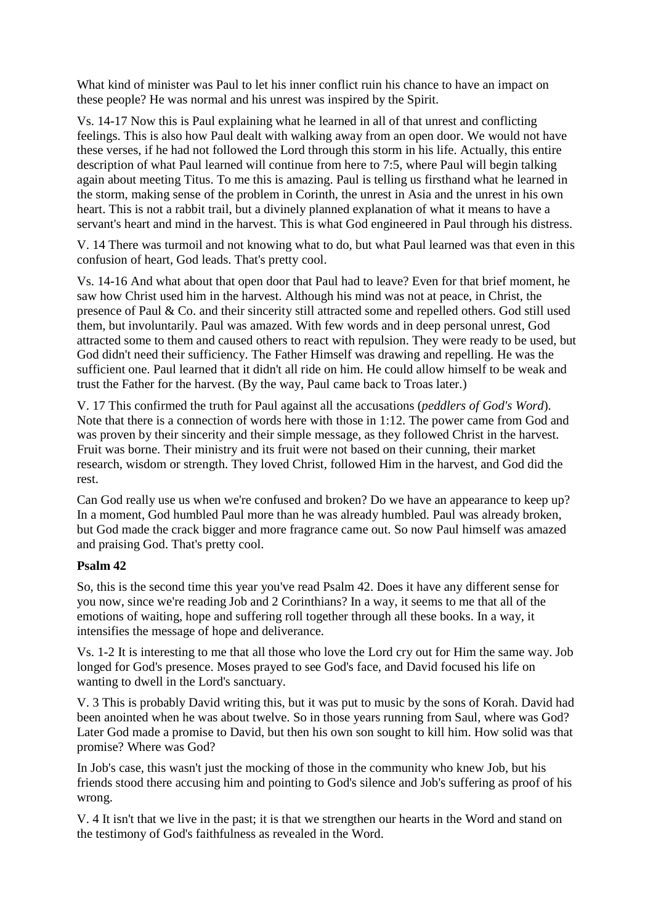What kind of minister was Paul to let his inner conflict ruin his chance to have an impact on these people? He was normal and his unrest was inspired by the Spirit.

Vs. 14-17 Now this is Paul explaining what he learned in all of that unrest and conflicting feelings. This is also how Paul dealt with walking away from an open door. We would not have these verses, if he had not followed the Lord through this storm in his life. Actually, this entire description of what Paul learned will continue from here to 7:5, where Paul will begin talking again about meeting Titus. To me this is amazing. Paul is telling us firsthand what he learned in the storm, making sense of the problem in Corinth, the unrest in Asia and the unrest in his own heart. This is not a rabbit trail, but a divinely planned explanation of what it means to have a servant's heart and mind in the harvest. This is what God engineered in Paul through his distress.

V. 14 There was turmoil and not knowing what to do, but what Paul learned was that even in this confusion of heart, God leads. That's pretty cool.

Vs. 14-16 And what about that open door that Paul had to leave? Even for that brief moment, he saw how Christ used him in the harvest. Although his mind was not at peace, in Christ, the presence of Paul & Co. and their sincerity still attracted some and repelled others. God still used them, but involuntarily. Paul was amazed. With few words and in deep personal unrest, God attracted some to them and caused others to react with repulsion. They were ready to be used, but God didn't need their sufficiency. The Father Himself was drawing and repelling. He was the sufficient one. Paul learned that it didn't all ride on him. He could allow himself to be weak and trust the Father for the harvest. (By the way, Paul came back to Troas later.)

V. 17 This confirmed the truth for Paul against all the accusations (*peddlers of God's Word*). Note that there is a connection of words here with those in 1:12. The power came from God and was proven by their sincerity and their simple message, as they followed Christ in the harvest. Fruit was borne. Their ministry and its fruit were not based on their cunning, their market research, wisdom or strength. They loved Christ, followed Him in the harvest, and God did the rest.

Can God really use us when we're confused and broken? Do we have an appearance to keep up? In a moment, God humbled Paul more than he was already humbled. Paul was already broken, but God made the crack bigger and more fragrance came out. So now Paul himself was amazed and praising God. That's pretty cool.

#### **Psalm 42**

So, this is the second time this year you've read Psalm 42. Does it have any different sense for you now, since we're reading Job and 2 Corinthians? In a way, it seems to me that all of the emotions of waiting, hope and suffering roll together through all these books. In a way, it intensifies the message of hope and deliverance.

Vs. 1-2 It is interesting to me that all those who love the Lord cry out for Him the same way. Job longed for God's presence. Moses prayed to see God's face, and David focused his life on wanting to dwell in the Lord's sanctuary.

V. 3 This is probably David writing this, but it was put to music by the sons of Korah. David had been anointed when he was about twelve. So in those years running from Saul, where was God? Later God made a promise to David, but then his own son sought to kill him. How solid was that promise? Where was God?

In Job's case, this wasn't just the mocking of those in the community who knew Job, but his friends stood there accusing him and pointing to God's silence and Job's suffering as proof of his wrong.

V. 4 It isn't that we live in the past; it is that we strengthen our hearts in the Word and stand on the testimony of God's faithfulness as revealed in the Word.